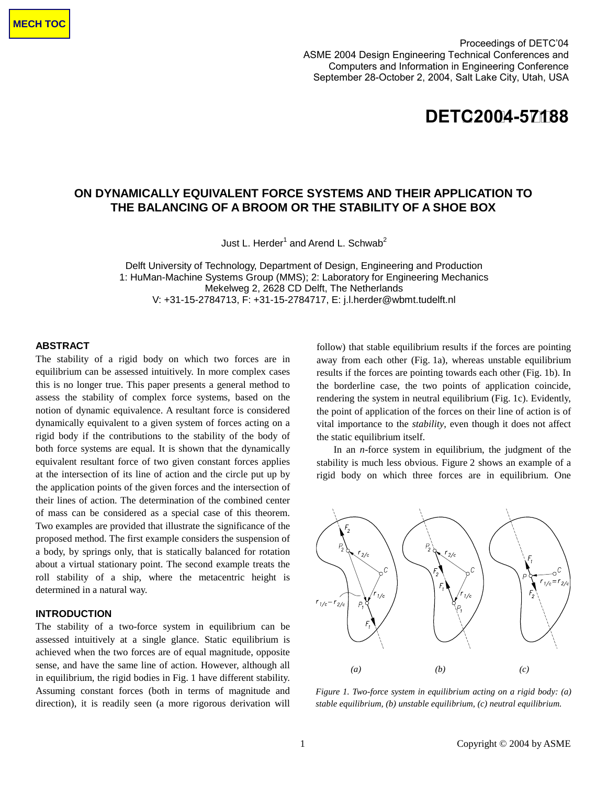Proceedings of DETC'04 **ASME Design Engineering Technical Conferences**  ASME 2004 Design Engineering Technical Conferences and **and Computers and Information in Engineering Conference**  Computers and Information in Engineering Conference September 28-October 2, 2004, Salt Lake City, Utah, USA



# **ON DYNAMICALLY EQUIVALENT FORCE SYSTEMS AND THEIR APPLICATION TO THE BALANCING OF A BROOM OR THE STABILITY OF A SHOE BOX**

Just L. Herder<sup>1</sup> and Arend L. Schwab<sup>2</sup>

Delft University of Technology, Department of Design, Engineering and Production 1: HuMan-Machine Systems Group (MMS); 2: Laboratory for Engineering Mechanics Mekelweg 2, 2628 CD Delft, The Netherlands V: +31-15-2784713, F: +31-15-2784717, E: j.l.herder@wbmt.tudelft.nl

# **ABSTRACT**

The stability of a rigid body on which two forces are in equilibrium can be assessed intuitively. In more complex cases this is no longer true. This paper presents a general method to assess the stability of complex force systems, based on the notion of dynamic equivalence. A resultant force is considered dynamically equivalent to a given system of forces acting on a rigid body if the contributions to the stability of the body of both force systems are equal. It is shown that the dynamically equivalent resultant force of two given constant forces applies at the intersection of its line of action and the circle put up by the application points of the given forces and the intersection of their lines of action. The determination of the combined center of mass can be considered as a special case of this theorem. Two examples are provided that illustrate the significance of the proposed method. The first example considers the suspension of a body, by springs only, that is statically balanced for rotation about a virtual stationary point. The second example treats the roll stability of a ship, where the metacentric height is determined in a natural way.

# **INTRODUCTION**

The stability of a two-force system in equilibrium can be assessed intuitively at a single glance. Static equilibrium is achieved when the two forces are of equal magnitude, opposite sense, and have the same line of action. However, although all in equilibrium, the rigid bodies in Fig. 1 have different stability. Assuming constant forces (both in terms of magnitude and direction), it is readily seen (a more rigorous derivation will

follow) that stable equilibrium results if the forces are pointing away from each other (Fig. 1a), whereas unstable equilibrium results if the forces are pointing towards each other (Fig. 1b). In the borderline case, the two points of application coincide, rendering the system in neutral equilibrium (Fig. 1c). Evidently, the point of application of the forces on their line of action is of vital importance to the *stability*, even though it does not affect the static equilibrium itself.

 In an *n*-force system in equilibrium, the judgment of the stability is much less obvious. Figure 2 shows an example of a rigid body on which three forces are in equilibrium. One



*Figure 1. Two-force system in equilibrium acting on a rigid body: (a) stable equilibrium, (b) unstable equilibrium, (c) neutral equilibrium.*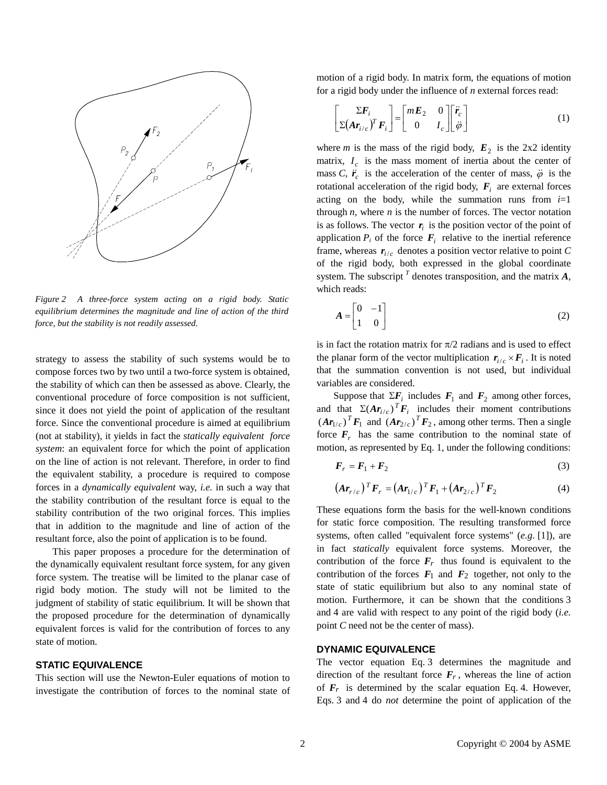

*Figure 2 A three-force system acting on a rigid body. Static equilibrium determines the magnitude and line of action of the third force, but the stability is not readily assessed.* 

strategy to assess the stability of such systems would be to compose forces two by two until a two-force system is obtained, the stability of which can then be assessed as above. Clearly, the conventional procedure of force composition is not sufficient, since it does not yield the point of application of the resultant force. Since the conventional procedure is aimed at equilibrium (not at stability), it yields in fact the *statically equivalent force system*: an equivalent force for which the point of application on the line of action is not relevant. Therefore, in order to find the equivalent stability, a procedure is required to compose forces in a *dynamically equivalent* way, *i.e.* in such a way that the stability contribution of the resultant force is equal to the stability contribution of the two original forces. This implies that in addition to the magnitude and line of action of the resultant force, also the point of application is to be found.

 This paper proposes a procedure for the determination of the dynamically equivalent resultant force system, for any given force system. The treatise will be limited to the planar case of rigid body motion. The study will not be limited to the judgment of stability of static equilibrium. It will be shown that the proposed procedure for the determination of dynamically equivalent forces is valid for the contribution of forces to any state of motion.

# **STATIC EQUIVALENCE**

This section will use the Newton-Euler equations of motion to investigate the contribution of forces to the nominal state of motion of a rigid body. In matrix form, the equations of motion for a rigid body under the influence of *n* external forces read:

on of a rigid body. In matrix form, the equations of motion  
rigid body under the influence of *n* external forces read:  

$$
\begin{bmatrix} \Sigma \boldsymbol{F}_i \\ \Sigma(\boldsymbol{A}\boldsymbol{r}_{i/c})^T \boldsymbol{F}_i \end{bmatrix} = \begin{bmatrix} m\boldsymbol{E}_2 & 0 \\ 0 & I_c \end{bmatrix} \begin{bmatrix} \boldsymbol{r}_c \\ \ddot{\varphi} \end{bmatrix}
$$
(1)

where *m* is the mass of the rigid body,  $E_2$  is the 2x2 identity matrix,  $I_c$  is the mass moment of inertia about the center of mass *C*,  $\ddot{r}_c$  is the acceleration of the center of mass,  $\ddot{\varphi}$  is the rotational acceleration of the rigid body,  $F_i$  are external forces acting on the body, while the summation runs from *i*=1 through  $n$ , where  $n$  is the number of forces. The vector notation is as follows. The vector  $r_i$  is the position vector of the point of application  $P_i$  of the force  $F_i$  relative to the inertial reference frame, whereas  $r_{i/c}$  denotes a position vector relative to point *C* of the rigid body, both expressed in the global coordinate system. The subscript  $<sup>T</sup>$  denotes transposition, and the matrix  $A$ ,</sup> which reads:

$$
A = \begin{bmatrix} 0 & -1 \\ 1 & 0 \end{bmatrix} \tag{2}
$$

is in fact the rotation matrix for  $\pi/2$  radians and is used to effect the planar form of the vector multiplication  $r_{i/c} \times F_i$ . It is noted that the summation convention is not used, but individual variables are considered.

Suppose that  $\Sigma F_i$  includes  $F_1$  and  $F_2$  among other forces, and that  $\Sigma (Ar_{i/c})^T F_i$  includes their moment contributions  $(Ar_{1/c})^T F_1$  and  $(Ar_{2/c})^T F_2$ , among other terms. Then a single force  $F_r$  has the same contribution to the nominal state of motion, as represented by Eq. 1, under the following conditions:

$$
\boldsymbol{F}_r = \boldsymbol{F}_1 + \boldsymbol{F}_2 \tag{3}
$$

$$
\left(Ar_{r/c}\right)^{T}F_{r}=\left(Ar_{1/c}\right)^{T}F_{1}+\left(Ar_{2/c}\right)^{T}F_{2}
$$
\n(4)

These equations form the basis for the well-known conditions for static force composition. The resulting transformed force systems, often called "equivalent force systems" (*e.g.* [1]), are in fact *statically* equivalent force systems. Moreover, the contribution of the force  $F_r$  thus found is equivalent to the contribution of the forces  $F_1$  and  $F_2$  together, not only to the state of static equilibrium but also to any nominal state of motion. Furthermore, it can be shown that the conditions 3 and 4 are valid with respect to any point of the rigid body (*i.e.* point *C* need not be the center of mass).

# **DYNAMIC EQUIVALENCE**

The vector equation Eq. 3 determines the magnitude and direction of the resultant force  $F_r$ , whereas the line of action of  $F_r$  is determined by the scalar equation Eq. 4. However, Eqs. 3 and 4 do *not* determine the point of application of the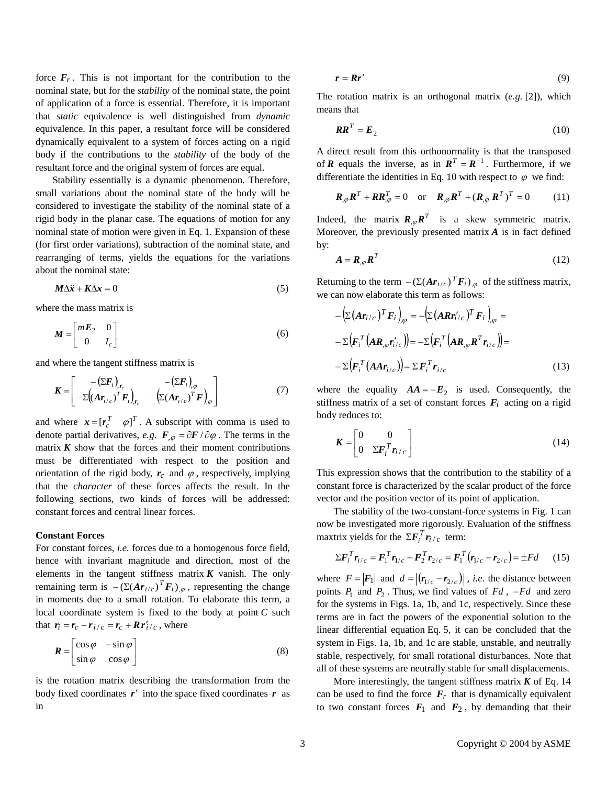force  $F_r$ . This is not important for the contribution to the nominal state, but for the *stability* of the nominal state, the point of application of a force is essential. Therefore, it is important that *static* equivalence is well distinguished from *dynamic* equivalence. In this paper, a resultant force will be considered dynamically equivalent to a system of forces acting on a rigid body if the contributions to the *stability* of the body of the resultant force and the original system of forces are equal.

 Stability essentially is a dynamic phenomenon. Therefore, small variations about the nominal state of the body will be considered to investigate the stability of the nominal state of a rigid body in the planar case. The equations of motion for any nominal state of motion were given in Eq. 1. Expansion of these (for first order variations), subtraction of the nominal state, and rearranging of terms, yields the equations for the variations about the nominal state: state of order ing of  $\vec{x} + \vec{K}\Delta$ 

$$
M\Delta \ddot{x} + K\Delta x = 0 \tag{5}
$$

where the mass matrix is

$$
\boldsymbol{M} = \begin{bmatrix} m\boldsymbol{E}_2 & 0 \\ 0 & I_c \end{bmatrix} \tag{6}
$$

and where the tangent stiffness matrix is

$$
\boldsymbol{K} = \begin{bmatrix} -(\Sigma \boldsymbol{F}_i)_{,r_c} & -(\Sigma \boldsymbol{F}_i)_{,\varphi} \\ -\Sigma \left( (\boldsymbol{A} \boldsymbol{r}_{i/c})^T \boldsymbol{F}_i \right)_{,r_c} & -\left( \Sigma (\boldsymbol{A} \boldsymbol{r}_{i/c})^T \boldsymbol{F} \right)_{,\varphi} \end{bmatrix} \tag{7}
$$

and where  $\mathbf{x} = [\mathbf{r}_c^T \quad \varphi]^T$ . A subscript with comma is used to denote partial derivatives, *e.g.*  $\mathbf{F}_{,\varphi} = \partial \mathbf{F} / \partial \varphi$ . The terms in the matrix  $K$  show that the forces and their moment contributions must be differentiated with respect to the position and orientation of the rigid body,  $r_c$  and  $\varphi$ , respectively, implying that the *character* of these forces affects the result. In the following sections, two kinds of forces will be addressed: constant forces and central linear forces.

## **Constant Forces**

For constant forces, *i.e.* forces due to a homogenous force field, hence with invariant magnitude and direction, most of the elements in the tangent stiffness matrix  $K$  vanish. The only remaining term is  $-(\Sigma (Ar_{i/c})^T F_i)_{,\varphi}$ , representing the change in moments due to a small rotation. To elaborate this term, a local coordinate system is fixed to the body at point *C* such that  $\mathbf{r}_i = \mathbf{r}_c + \mathbf{r}_{i/c} = \mathbf{r}_c + \mathbf{R}\mathbf{r}'_{i/c}$ , where

$$
\boldsymbol{R} = \begin{bmatrix} \cos \varphi & -\sin \varphi \\ \sin \varphi & \cos \varphi \end{bmatrix}
$$
 (8)

is the rotation matrix describing the transformation from the body fixed coordinates  $\boldsymbol{r}'$  into the space fixed coordinates  $\boldsymbol{r}$  as in

$$
r = R r' \tag{9}
$$

The rotation matrix is an orthogonal matrix (*e.g.* [2]), which means that

$$
RR^T = E_2 \tag{10}
$$

A direct result from this orthonormality is that the transposed of *R* equals the inverse, as in  $R^T = R^{-1}$ . Furthermore, if we differentiate the identities in Eq. 10 with respect to  $\varphi$  we find:

$$
\boldsymbol{R}_{,\varphi}\boldsymbol{R}^T + \boldsymbol{R}\boldsymbol{R}_{,\varphi}^T = 0 \quad \text{or} \quad \boldsymbol{R}_{,\varphi}\boldsymbol{R}^T + (\boldsymbol{R}_{,\varphi}\boldsymbol{R}^T)^T = 0 \tag{11}
$$

Indeed, the matrix  $\mathbf{R}_{\varphi} \mathbf{R}^T$  is a skew symmetric matrix. Moreover, the previously presented matrix *A* is in fact defined by:

$$
A = R_{,\varphi} R^T \tag{12}
$$

Returning to the term  $-(\Sigma (Ar_{i/c})^T \vec{F}_i)_{,\varphi}$  of the stiffness matrix, we can now elaborate this term as follows:

$$
- \left( \Sigma \left( \mathbf{A} \mathbf{r}_{i/c} \right)^{T} \mathbf{F}_{i} \right)_{,\varphi} = - \left( \Sigma \left( \mathbf{A} \mathbf{R} \mathbf{r}'_{i/c} \right)^{T} \mathbf{F}_{i} \right)_{,\varphi} =
$$
  

$$
- \Sigma \left( \mathbf{F}_{i}^{T} \left( \mathbf{A} \mathbf{R}_{,\varphi} \mathbf{r}'_{i/c} \right) \right) = - \Sigma \left( \mathbf{F}_{i}^{T} \left( \mathbf{A} \mathbf{R}_{,\varphi} \mathbf{R}^{T} \mathbf{r}_{i/c} \right) \right) =
$$

$$
- \Sigma \left( \mathbf{F}_{i}^{T} \left( \mathbf{A} \mathbf{A} \mathbf{r}_{i/c} \right) \right) = \Sigma \mathbf{F}_{i}^{T} \mathbf{r}_{i/c}
$$
(13)

where the equality  $AA = -E_2$  is used. Consequently, the stiffness matrix of a set of constant forces  $F_i$  acting on a rigid body reduces to:

$$
\boldsymbol{K} = \begin{bmatrix} 0 & 0 \\ 0 & \Sigma \boldsymbol{F}_i^T \boldsymbol{r}_{i/c} \end{bmatrix}
$$
 (14)

This expression shows that the contribution to the stability of a constant force is characterized by the scalar product of the force vector and the position vector of its point of application.

 The stability of the two-constant-force systems in Fig. 1 can now be investigated more rigorously. Evaluation of the stiffness maxtrix yields for the  $\Sigma F_i^T r_{i/c}$  term:

$$
\Sigma F_i^T r_{i/c} = F_1^T r_{1/c} + F_2^T r_{2/c} = F_1^T (r_{1/c} - r_{2/c}) = \pm Fd \qquad (15)
$$

where  $F = |F_1|$  and  $d = |(r_{1/c} - r_{2/c})|$ , *i.e.* the distance between  $\Sigma F_i^T r_{i/c} = F_1^T r_{1/c} + F_2^T r_{2/c} = F_1^T (r_{1/c} - r_{2/c}) = \pm Fd$  (15)<br>where  $F = |F_1|$  and  $d = |(r_{1/c} - r_{2/c})|$ , *i.e.* the distance between<br>points  $P_1$  and  $P_2$ . Thus, we find values of  $Fd$ ,  $-Hd$  and zero for the systems in Figs. 1a, 1b, and 1c, respectively. Since these terms are in fact the powers of the exponential solution to the linear differential equation Eq. 5, it can be concluded that the system in Figs. 1a, 1b, and 1c are stable, unstable, and neutrally stable, respectively, for small rotational disturbances. Note that all of these systems are neutrally stable for small displacements.

More interestingly, the tangent stiffness matrix  $K$  of Eq. 14 can be used to find the force  $F_r$  that is dynamically equivalent to two constant forces  $F_1$  and  $F_2$ , by demanding that their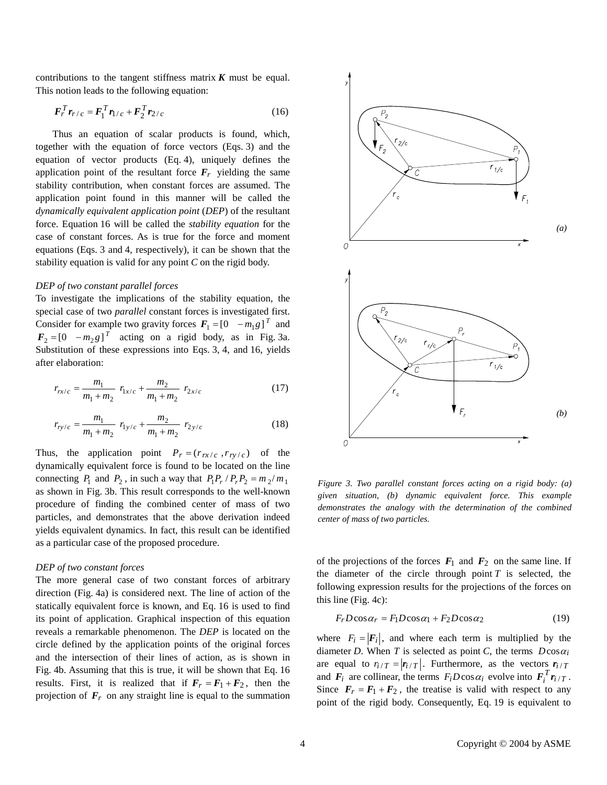contributions to the tangent stiffness matrix  $K$  must be equal. This notion leads to the following equation:

$$
F_r^T r_{r/c} = F_1^T r_{1/c} + F_2^T r_{2/c}
$$
 (16)

 Thus an equation of scalar products is found, which, together with the equation of force vectors (Eqs. 3) and the equation of vector products (Eq. 4), uniquely defines the application point of the resultant force  $F_r$  yielding the same stability contribution, when constant forces are assumed. The application point found in this manner will be called the *dynamically equivalent application point* (*DEP*) of the resultant force. Equation 16 will be called the *stability equation* for the case of constant forces. As is true for the force and moment equations (Eqs. 3 and 4, respectively), it can be shown that the stability equation is valid for any point *C* on the rigid body.

## *DEP of two constant parallel forces*

To investigate the implications of the stability equation, the special case of two *parallel* constant forces is investigated first. Consider for example two gravity forces  $F_1 = \begin{bmatrix} 0 & -m_1 g \end{bmatrix}^T$  and  $F_2 = \begin{bmatrix} 0 & -m_2 g \end{bmatrix}^T$  acting on a rigid body, as in Fig. 3a. Substitution of these expressions into Eqs. 3, 4, and 16, yields after elaboration:

$$
r_{rx/c} = \frac{m_1}{m_1 + m_2} r_{1x/c} + \frac{m_2}{m_1 + m_2} r_{2x/c}
$$
 (17)

$$
r_{ry/c} = \frac{m_1}{m_1 + m_2} r_{1y/c} + \frac{m_2}{m_1 + m_2} r_{2y/c}
$$
 (18)

Thus, the application point  $P_r = (r_{rx/c}, r_{ry/c})$  of the dynamically equivalent force is found to be located on the line connecting  $P_1$  and  $P_2$ , in such a way that  $P_1P_r/P_rP_2 = m_2/m_1$ as shown in Fig. 3b. This result corresponds to the well-known procedure of finding the combined center of mass of two particles, and demonstrates that the above derivation indeed yields equivalent dynamics. In fact, this result can be identified as a particular case of the proposed procedure.

## *DEP of two constant forces*

The more general case of two constant forces of arbitrary direction (Fig. 4a) is considered next. The line of action of the statically equivalent force is known, and Eq. 16 is used to find its point of application. Graphical inspection of this equation reveals a remarkable phenomenon. The *DEP* is located on the circle defined by the application points of the original forces and the intersection of their lines of action, as is shown in Fig. 4b. Assuming that this is true, it will be shown that Eq. 16 results. First, it is realized that if  $F_r = F_1 + F_2$ , then the projection of  $\mathbf{F}_r$  on any straight line is equal to the summation



*Figure 3. Two parallel constant forces acting on a rigid body: (a) given situation, (b) dynamic equivalent force. This example demonstrates the analogy with the determination of the combined center of mass of two particles.* 

of the projections of the forces  $F_1$  and  $F_2$  on the same line. If the diameter of the circle through point  $T$  is selected, the following expression results for the projections of the forces on this line (Fig. 4c):

$$
F_r D \cos \alpha_r = F_1 D \cos \alpha_1 + F_2 D \cos \alpha_2 \tag{19}
$$

where  $F_i = |F_i|$ , and where each term is multiplied by the diameter *D*. When *T* is selected as point *C*, the terms  $D\cos\alpha_i$ are equal to  $r_{i/T} = |r_{i/T}|$ . Furthermore, as the vectors  $r_{i/T}$ and  $\mathbf{F}_i$  are collinear, the terms  $F_iD\cos\alpha_i$  evolve into  $\mathbf{F}_i^T\mathbf{r}_{i/T}$ . Since  $F_r = F_1 + F_2$ , the treatise is valid with respect to any point of the rigid body. Consequently, Eq. 19 is equivalent to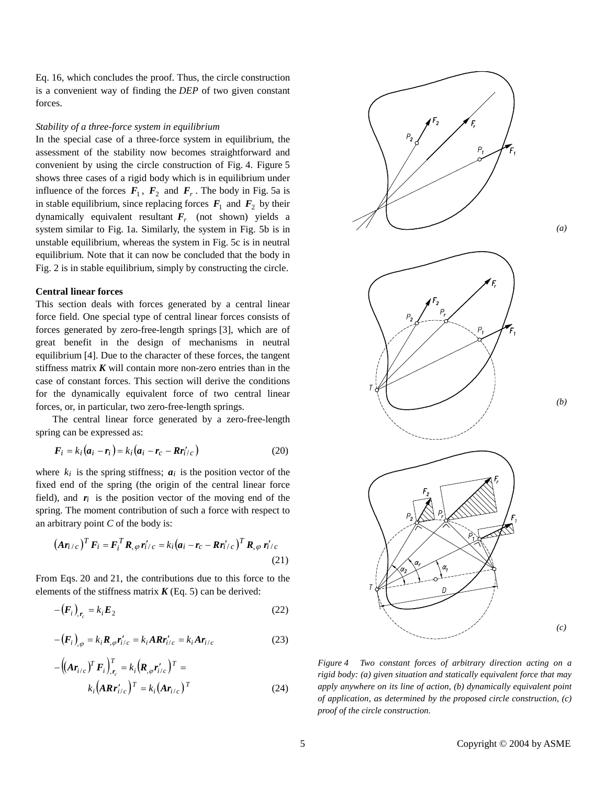Eq. 16, which concludes the proof. Thus, the circle construction is a convenient way of finding the *DEP* of two given constant forces.

#### *Stability of a three-force system in equilibrium*

In the special case of a three-force system in equilibrium, the assessment of the stability now becomes straightforward and convenient by using the circle construction of Fig. 4. Figure 5 shows three cases of a rigid body which is in equilibrium under influence of the forces  $F_1$ ,  $F_2$  and  $F_r$ . The body in Fig. 5a is in stable equilibrium, since replacing forces  $F_1$  and  $F_2$  by their dynamically equivalent resultant  $F_r$  (not shown) yields a system similar to Fig. 1a. Similarly, the system in Fig. 5b is in unstable equilibrium, whereas the system in Fig. 5c is in neutral equilibrium. Note that it can now be concluded that the body in Fig. 2 is in stable equilibrium, simply by constructing the circle.

## **Central linear forces**

This section deals with forces generated by a central linear force field. One special type of central linear forces consists of forces generated by zero-free-length springs [3], which are of great benefit in the design of mechanisms in neutral equilibrium [4]. Due to the character of these forces, the tangent stiffness matrix  $K$  will contain more non-zero entries than in the case of constant forces. This section will derive the conditions for the dynamically equivalent force of two central linear forces, or, in particular, two zero-free-length springs.

 The central linear force generated by a zero-free-length spring can be expressed as:

$$
\boldsymbol{F}_i = k_i (\boldsymbol{a}_i - \boldsymbol{r}_i) = k_i (\boldsymbol{a}_i - \boldsymbol{r}_c - \boldsymbol{R} \boldsymbol{r}'_{i/c})
$$
(20)

where  $k_i$  is the spring stiffness;  $a_i$  is the position vector of the fixed end of the spring (the origin of the central linear force field), and  $r_i$  is the position vector of the moving end of the spring. The moment contribution of such a force with respect to an arbitrary point *C* of the body is:

$$
(\boldsymbol{A}\boldsymbol{r}_{i/c})^T \boldsymbol{F}_i = \boldsymbol{F}_i^T \boldsymbol{R}_{,\varphi} \boldsymbol{r}'_{i/c} = k_i (\boldsymbol{a}_i - \boldsymbol{r}_c - \boldsymbol{R}\boldsymbol{r}'_{i/c})^T \boldsymbol{R}_{,\varphi} \boldsymbol{r}'_{i/c}
$$
\n(21)

From Eqs. 20 and 21, the contributions due to this force to the elements of the stiffness matrix  $K$  (Eq. 5) can be derived:

$$
-(\boldsymbol{F}_i)_{,r_c} = k_i \boldsymbol{E}_2 \tag{22}
$$

$$
-(\boldsymbol{F}_i)_{,\varphi} = k_i \boldsymbol{R}_{,\varphi} \boldsymbol{r}'_{i/c} = k_i A \boldsymbol{R} \boldsymbol{r}'_{i/c} = k_i A \boldsymbol{r}_{i/c}
$$
 (23)

$$
-\left(\left(\mathbf{A}\mathbf{r}_{i/c}\right)^{T}\mathbf{F}_{i}\right)_{\mathbf{r}_{c}}^{T} = k_{i}\left(\mathbf{R}_{,\varphi}\mathbf{r}_{i/c}'\right)^{T} = k_{i}\left(\mathbf{A}\mathbf{r}_{i/c}\right)^{T} = k_{i}\left(\mathbf{A}\mathbf{r}_{i/c}\right)^{T}
$$
\n(24)



*Figure 4 Two constant forces of arbitrary direction acting on a rigid body: (a) given situation and statically equivalent force that may apply anywhere on its line of action, (b) dynamically equivalent point of application, as determined by the proposed circle construction, (c) proof of the circle construction.*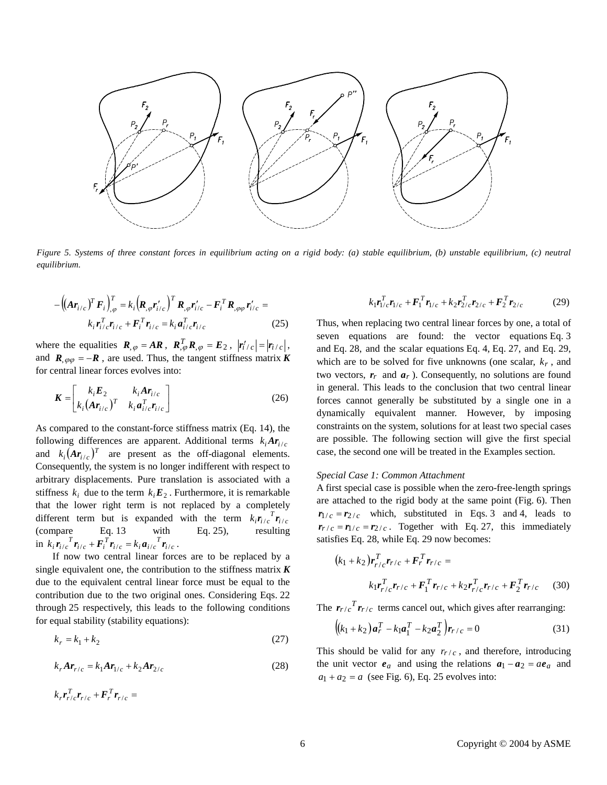

*Figure 5. Systems of three constant forces in equilibrium acting on a rigid body: (a) stable equilibrium, (b) unstable equilibrium, (c) neutral equilibrium.* 

$$
-\left(\left(\mathbf{A}\mathbf{r}_{i/c}\right)^{T}\mathbf{F}_{i}\right)_{,\varphi}^{T} = k_{i}\left(\mathbf{R}_{,\varphi}\mathbf{r}_{i/c}^{'}\right)^{T}\mathbf{R}_{,\varphi}\mathbf{r}_{i/c}^{'} - \mathbf{F}_{i}^{T}\mathbf{R}_{,\varphi\varphi}\mathbf{r}_{i/c}^{'} =
$$

$$
k_{i}\mathbf{r}_{i/c}^{T}\mathbf{r}_{i/c} + \mathbf{F}_{i}^{T}\mathbf{r}_{i/c} = k_{i}\mathbf{a}_{i/c}^{T}\mathbf{r}_{i/c}
$$
(25)

where the equalities  $\mathbf{R}_{,\varphi} = A\mathbf{R}$ ,  $\mathbf{R}_{,\varphi}^T \mathbf{R}_{,\varphi} = \mathbf{E}_2$ ,  $|\mathbf{r}'_i/c| = |\mathbf{r}_i/c|$ , where the equanties  $\mathbf{R}, \varphi = A\mathbf{R}$ ,  $\mathbf{R}, \varphi \mathbf{R}, \varphi = E_2$ ,  $\mathbf{F}/c$  -  $\mathbf{F}/c$ ,  $\mathbf{F}/c$ , and  $\mathbf{R}, \varphi \varphi = -\mathbf{R}$ , are used. Thus, the tangent stiffness matrix *K* for central linear forces evolves into:

$$
\boldsymbol{K} = \begin{bmatrix} k_i \boldsymbol{E}_2 & k_i \boldsymbol{A} \boldsymbol{r}_{i/c} \\ k_i (\boldsymbol{A} \boldsymbol{r}_{i/c})^T & k_i \boldsymbol{a}_{i/c}^T \boldsymbol{r}_{i/c} \end{bmatrix}
$$
(26)

As compared to the constant-force stiffness matrix (Eq. 14), the following differences are apparent. Additional terms  $k_i A r_{i/c}$ and  $k_i(\mathbf{Ar}_{i/c})^T$  are present as the off-diagonal elements. Consequently, the system is no longer indifferent with respect to arbitrary displacements. Pure translation is associated with a stiffness  $k_i$  due to the term  $k_i \mathbf{E}_2$ . Furthermore, it is remarkable that the lower right term is not replaced by a completely different term but is expanded with the term  $k_i \mathbf{r}_{i/c}^T \mathbf{r}_{i/c}$ (compare Eq. 13 with Eq. 25), resulting in  $k_i \mathbf{r}_{i/c}^T \mathbf{r}_{i/c} + \mathbf{F}_i^T \mathbf{r}_{i/c} = k_i \mathbf{a}_{i/c}^T \mathbf{r}_{i/c}$ .

 If now two central linear forces are to be replaced by a single equivalent one, the contribution to the stiffness matrix  $\boldsymbol{K}$ due to the equivalent central linear force must be equal to the contribution due to the two original ones. Considering Eqs. 22 through 25 respectively, this leads to the following conditions for equal stability (stability equations):

$$
k_r = k_1 + k_2 \tag{27}
$$

$$
k_r A r_{r/c} = k_1 A r_{1/c} + k_2 A r_{2/c}
$$
 (28)

$$
k_r \boldsymbol{r}_{r/c}^T \boldsymbol{r}_{r/c} + \boldsymbol{F}_r^T \boldsymbol{r}_{r/c} =
$$

$$
k_1 r_{1/c}^T r_{1/c} + F_1^T r_{1/c} + k_2 r_{2/c}^T r_{2/c} + F_2^T r_{2/c}
$$
 (29)

Thus, when replacing two central linear forces by one, a total of seven equations are found: the vector equations Eq. 3 and Eq. 28, and the scalar equations Eq. 4, Eq. 27, and Eq. 29, which are to be solved for five unknowns (one scalar,  $k_r$ , and two vectors,  $r_r$  and  $a_r$ ). Consequently, no solutions are found in general. This leads to the conclusion that two central linear forces cannot generally be substituted by a single one in a dynamically equivalent manner. However, by imposing constraints on the system, solutions for at least two special cases are possible. The following section will give the first special case, the second one will be treated in the Examples section.

# *Special Case 1: Common Attachment*

A first special case is possible when the zero-free-length springs are attached to the rigid body at the same point (Fig. 6). Then  $r_{1/c} = r_{2/c}$  which, substituted in Eqs. 3 and 4, leads to  $r_{r/c} = r_{1/c} = r_{2/c}$ . Together with Eq. 27, this immediately satisfies Eq. 28, while Eq. 29 now becomes:

$$
(k_1 + k_2) \mathbf{r}_{r/c}^T \mathbf{r}_{r/c} + \mathbf{F}_r^T \mathbf{r}_{r/c} =
$$
  

$$
k_1 \mathbf{r}_{r/c}^T \mathbf{r}_{r/c} + \mathbf{F}_1^T \mathbf{r}_{r/c} + k_2 \mathbf{r}_{r/c}^T \mathbf{r}_{r/c} + \mathbf{F}_2^T \mathbf{r}_{r/c}
$$
 (30)

The  $r_{r/c}$ <sup>T</sup> $r_{r/c}$  terms cancel out, which gives after rearranging:

$$
((k_1 + k_2)\mathbf{a}_r^T - k_1\mathbf{a}_1^T - k_2\mathbf{a}_2^T)\mathbf{r}_{r/c} = 0
$$
\n(31)

This should be valid for any  $r_{r/c}$ , and therefore, introducing the unit vector  $e_a$  and using the relations  $a_1 - a_2 = ae_a$  and  $a_1 + a_2 = a$  (see Fig. 6), Eq. 25 evolves into: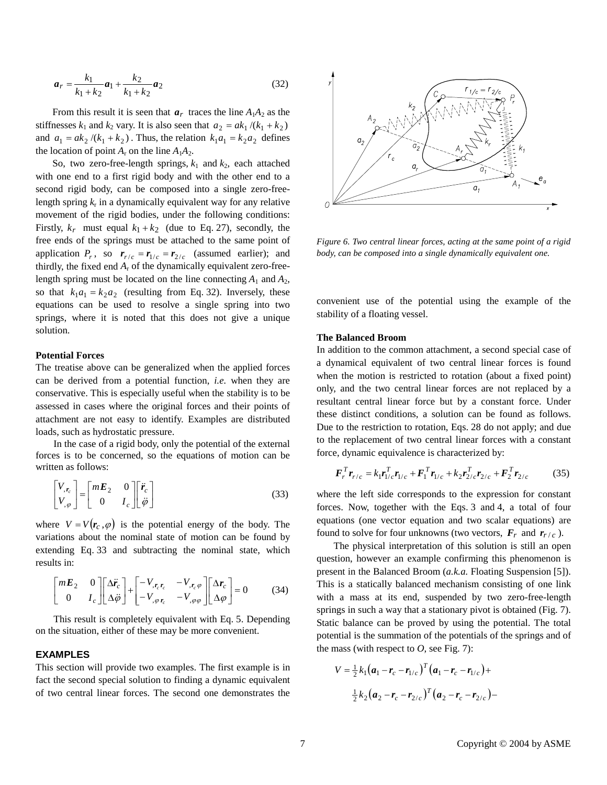$$
a_r = \frac{k_1}{k_1 + k_2} a_1 + \frac{k_2}{k_1 + k_2} a_2 \tag{32}
$$

From this result it is seen that  $a_r$  traces the line  $A_1A_2$  as the stiffnesses  $k_1$  and  $k_2$  vary. It is also seen that  $a_2 = ak_1/(k_1 + k_2)$ and  $a_1 = ak_2/(k_1 + k_2)$ . Thus, the relation  $k_1a_1 = k_2a_2$  defines the location of point  $A_r$  on the line  $A_1A_2$ .

So, two zero-free-length springs,  $k_1$  and  $k_2$ , each attached with one end to a first rigid body and with the other end to a second rigid body, can be composed into a single zero-freelength spring  $k_r$  in a dynamically equivalent way for any relative movement of the rigid bodies, under the following conditions: Firstly,  $k_r$  must equal  $k_1 + k_2$  (due to Eq. 27), secondly, the free ends of the springs must be attached to the same point of application  $P_r$ , so  $r_{r/c} = r_{1/c} = r_{2/c}$  (assumed earlier); and thirdly, the fixed end  $A_r$  of the dynamically equivalent zero-freelength spring must be located on the line connecting  $A_1$  and  $A_2$ , so that  $k_1 a_1 = k_2 a_2$  (resulting from Eq. 32). Inversely, these equations can be used to resolve a single spring into two springs, where it is noted that this does not give a unique solution.

#### **Potential Forces**

The treatise above can be generalized when the applied forces can be derived from a potential function, *i.e.* when they are conservative. This is especially useful when the stability is to be assessed in cases where the original forces and their points of attachment are not easy to identify. Examples are distributed loads, such as hydrostatic pressure.

In the case of a rigid body, only the potential of the external forces is to be concerned, so the equations of motion can be written as follows: the case of a rigid book s to be concerned, as<br>s follows:<br> $r_c$ <br> $r_c$  =  $\begin{bmatrix} mE_2 & 0 \\ 0 & I_c \end{bmatrix} \begin{bmatrix} \vec{r}_c \\ \vec{\varphi} \end{bmatrix}$ 

$$
\begin{bmatrix} V_{,r_c} \\ V_{,\varphi} \end{bmatrix} = \begin{bmatrix} mE_2 & 0 \\ 0 & I_c \end{bmatrix} \begin{bmatrix} \ddot{r}_c \\ \ddot{\varphi} \end{bmatrix}
$$
 (33)

where  $V = V(r_c, \varphi)$  is the potential energy of the body. The variations about the nominal state of motion can be found by extending Eq. 33 and subtracting the nominal state, which results in:

$$
\begin{bmatrix} mE_2 & 0 \ 0 & I_c \end{bmatrix} \begin{bmatrix} \Delta \ddot{r}_c \\ \Delta \ddot{\varphi} \end{bmatrix} + \begin{bmatrix} -V_{,r_c r_c} & -V_{,r_c \varphi} \\ -V_{, \varphi r_c} & -V_{, \varphi \varphi} \end{bmatrix} \begin{bmatrix} \Delta r_c \\ \Delta \varphi \end{bmatrix} = 0 \tag{34}
$$

This result is completely equivalent with Eq. 5. Depending on the situation, either of these may be more convenient.

# **EXAMPLES**

This section will provide two examples. The first example is in fact the second special solution to finding a dynamic equivalent of two central linear forces. The second one demonstrates the



*Figure 6. Two central linear forces, acting at the same point of a rigid body, can be composed into a single dynamically equivalent one.* 

convenient use of the potential using the example of the stability of a floating vessel.

## **The Balanced Broom**

In addition to the common attachment, a second special case of a dynamical equivalent of two central linear forces is found when the motion is restricted to rotation (about a fixed point) only, and the two central linear forces are not replaced by a resultant central linear force but by a constant force. Under these distinct conditions, a solution can be found as follows. Due to the restriction to rotation, Eqs. 28 do not apply; and due to the replacement of two central linear forces with a constant force, dynamic equivalence is characterized by:

$$
\boldsymbol{F}_r^T \boldsymbol{r}_{r/c} = k_1 \boldsymbol{r}_{1/c}^T \boldsymbol{r}_{1/c} + \boldsymbol{F}_1^T \boldsymbol{r}_{1/c} + k_2 \boldsymbol{r}_{2/c}^T \boldsymbol{r}_{2/c} + \boldsymbol{F}_2^T \boldsymbol{r}_{2/c}
$$
(35)

where the left side corresponds to the expression for constant forces. Now, together with the Eqs. 3 and 4, a total of four equations (one vector equation and two scalar equations) are found to solve for four unknowns (two vectors,  $\mathbf{F}_r$  and  $\mathbf{r}_{r/c}$ ).

 The physical interpretation of this solution is still an open question, however an example confirming this phenomenon is present in the Balanced Broom (*a.k.a.* Floating Suspension [5]). This is a statically balanced mechanism consisting of one link with a mass at its end, suspended by two zero-free-length springs in such a way that a stationary pivot is obtained (Fig. 7). Static balance can be proved by using the potential. The total potential is the summation of the potentials of the springs and of

the mass (with respect to *O*, see Fig. 7):  
\n
$$
V = \frac{1}{2} k_1 (a_1 - r_c - r_{1/c})^T (a_1 - r_c - r_{1/c}) +
$$
\n
$$
\frac{1}{2} k_2 (a_2 - r_c - r_{2/c})^T (a_2 - r_c - r_{2/c}) -
$$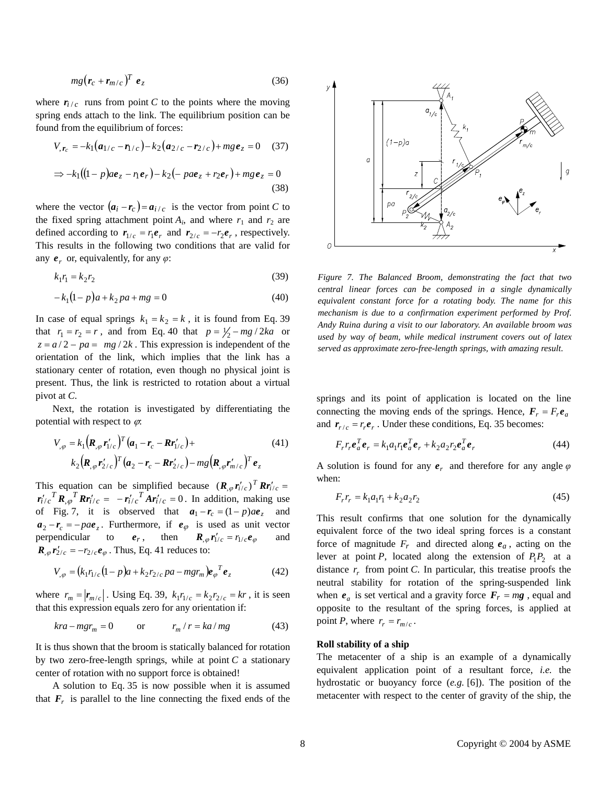$$
mg\big(\mathbf{r}_c + \mathbf{r}_{m/c}\big)^T \mathbf{e}_z \tag{36}
$$

where  $r_{i/c}$  runs from point *C* to the points where the moving spring ends attach to the link. The equilibrium position can be found from the equilibrium of forces:

$$
V_{,r_c} = -k_1(a_{1/c} - r_{1/c}) - k_2(a_{2/c} - r_{2/c}) + mg \, e_z = 0 \quad (37)
$$
  

$$
\Rightarrow -k_1((1-p)a e_z - n e_r) - k_2(-pa e_z + r_2 e_r) + mg \, e_z = 0 \quad (38)
$$

where the vector  $(a_i - r_c) = a_{i/c}$  is the vector from point *C* to the fixed spring attachment point  $A_i$ , and where  $r_1$  and  $r_2$  are defined according to  $r_{1/c} = r_1 e_r$  and  $r_{2/c} = -r_2 e_r$ , respectively. This results in the following two conditions that are valid for any  $e_r$  or, equivalently, for any  $\varphi$ :

$$
k_1r_1 = k_2r_2\tag{39}
$$

$$
-k_1(1-p)a + k_2pa + mg = 0
$$
\n(40)

In case of equal springs  $k_1 = k_2 = k$ , it is found from Eq. 39 that  $r_1 = r_2 = r$ , and from Eq. 40 that  $p = \frac{1}{2} - mg/2ka$  or  $z = a/2 - pa = mg/2k$ . This expression is independent of the orientation of the link, which implies that the link has a stationary center of rotation, even though no physical joint is present. Thus, the link is restricted to rotation about a virtual pivot at *C*.

 Next, the rotation is investigated by differentiating the potential with respect to  $\varphi$ .

$$
V_{,\varphi} = k_1 (\mathbf{R}_{,\varphi} \mathbf{r}'_{1/c})^T (\mathbf{a}_1 - \mathbf{r}_c - \mathbf{R} \mathbf{r}'_{1/c}) +
$$
  
\n
$$
k_2 (\mathbf{R}_{,\varphi} \mathbf{r}'_{2/c})^T (\mathbf{a}_2 - \mathbf{r}_c - \mathbf{R} \mathbf{r}'_{2/c}) - mg (\mathbf{R}_{,\varphi} \mathbf{r}'_{m/c})^T \mathbf{e}_z
$$
\n(41)

This equation can be simplified because  $(R_{,\varphi}r'_{i/c})^T R r'_{i/c} = r'_{i/c}^T R_{,\varphi}^T R r'_{i/c} = -r'_{i/c}^T A r'_{i/c} = 0$ . In addition, making use  $\mathbf{r}_{i/c} \cdot \mathbf{A}_{,\varphi} \cdot \mathbf{A} \mathbf{r}_{i/c} = -\mathbf{r}_{i/c} \cdot \mathbf{A} \mathbf{r}_{i/c} = 0$ . In addition, making use<br>of Fig. 7, it is observed that  $a_1 - r_c = (1 - p)a e_z$  and  $a_2 - r_c = -pa e_z$ . Furthermore, if  $e_{\varphi}$  is used as unit vector perpendicular to  $e_r$ , then  $R_{\phi}r'_{1/c} = r_{1/c}e_{\phi}$  and  $R_{,\varphi} r_{2/c}^{2} = -r_{2/c} e_{\varphi}$ . Thus, Eq. 41 reduces to:

$$
V_{,\varphi} = (k_1 r_{1/c} (1 - p)a + k_2 r_{2/c} pa - mgr_m) e_{\varphi}^T e_z
$$
 (42)

where  $r_m = |\mathbf{r}_{m/c}|$ . Using Eq. 39,  $k_1 r_{1/c} = k_2 r_{2/c} = kr$ , it is seen that this expression equals zero for any orientation if:

$$
kra - mgr_m = 0 \qquad \text{or} \qquad r_m / r = ka / mg \tag{43}
$$

It is thus shown that the broom is statically balanced for rotation by two zero-free-length springs, while at point *C* a stationary center of rotation with no support force is obtained!

 A solution to Eq. 35 is now possible when it is assumed that  $F_r$  is parallel to the line connecting the fixed ends of the



*Figure 7. The Balanced Broom, demonstrating the fact that two central linear forces can be composed in a single dynamically equivalent constant force for a rotating body. The name for this mechanism is due to a confirmation experiment performed by Prof. Andy Ruina during a visit to our laboratory. An available broom was used by way of beam, while medical instrument covers out of latex served as approximate zero-free-length springs, with amazing result.*

springs and its point of application is located on the line connecting the moving ends of the springs. Hence,  $\mathbf{F}_r = F_r \mathbf{e}_q$ and  $r_{r/c} = r_r e_r$ . Under these conditions, Eq. 35 becomes:

$$
F_r r_r e_a^T e_r = k_1 a_1 r_1 e_a^T e_r + k_2 a_2 r_2 e_a^T e_r
$$
\n(44)

A solution is found for any  $e_r$  and therefore for any angle  $\varphi$ when:

$$
F_r r_r = k_1 a_1 r_1 + k_2 a_2 r_2 \tag{45}
$$

This result confirms that one solution for the dynamically equivalent force of the two ideal spring forces is a constant force of magnitude  $F_r$  and directed along  $e_a$ , acting on the lever at point *P*, located along the extension of  $P_1P_2$  at a distance  $r_r$  from point *C*. In particular, this treatise proofs the neutral stability for rotation of the spring-suspended link when  $e_a$  is set vertical and a gravity force  $F_r = mg$ , equal and opposite to the resultant of the spring forces, is applied at point *P*, where  $r_r = r_{m/c}$ .

## **Roll stability of a ship**

The metacenter of a ship is an example of a dynamically equivalent application point of a resultant force, *i.e.* the hydrostatic or buoyancy force (*e.g.* [6]). The position of the metacenter with respect to the center of gravity of the ship, the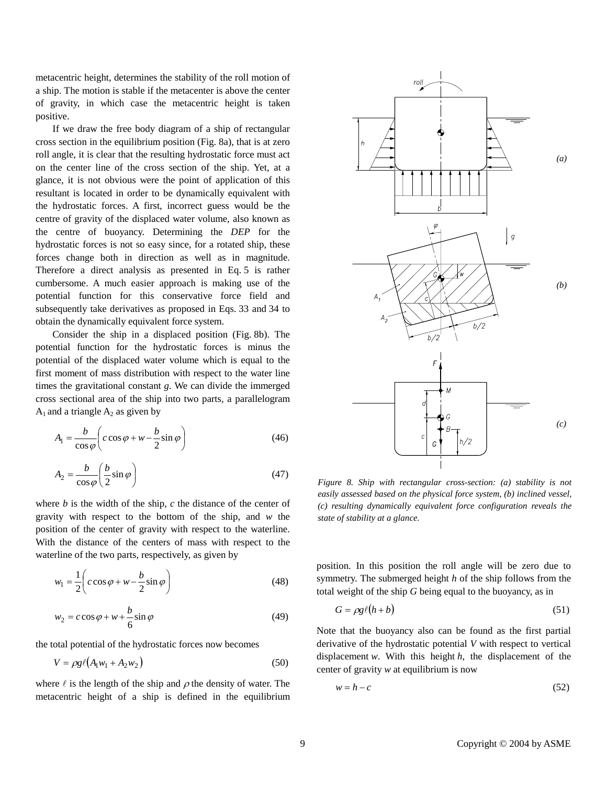metacentric height, determines the stability of the roll motion of a ship. The motion is stable if the metacenter is above the center of gravity, in which case the metacentric height is taken positive.

 If we draw the free body diagram of a ship of rectangular cross section in the equilibrium position (Fig. 8a), that is at zero roll angle, it is clear that the resulting hydrostatic force must act on the center line of the cross section of the ship. Yet, at a glance, it is not obvious were the point of application of this resultant is located in order to be dynamically equivalent with the hydrostatic forces. A first, incorrect guess would be the centre of gravity of the displaced water volume, also known as the centre of buoyancy. Determining the *DEP* for the hydrostatic forces is not so easy since, for a rotated ship, these forces change both in direction as well as in magnitude. Therefore a direct analysis as presented in Eq. 5 is rather cumbersome. A much easier approach is making use of the potential function for this conservative force field and subsequently take derivatives as proposed in Eqs. 33 and 34 to obtain the dynamically equivalent force system.

 Consider the ship in a displaced position (Fig. 8b). The potential function for the hydrostatic forces is minus the potential of the displaced water volume which is equal to the first moment of mass distribution with respect to the water line times the gravitational constant *g*. We can divide the immerged cross sectional area of the ship into two parts, a parallelogram  $A_1$  and a triangle  $A_2$  as given by

$$
A_1 = \frac{b}{\cos \varphi} \bigg( c \cos \varphi + w - \frac{b}{2} \sin \varphi \bigg)
$$
 (46)

$$
A_2 = \frac{b}{\cos \varphi} \left( \frac{b}{2} \sin \varphi \right) \tag{47}
$$

where *b* is the width of the ship, *c* the distance of the center of gravity with respect to the bottom of the ship, and *w* the position of the center of gravity with respect to the waterline. With the distance of the centers of mass with respect to the waterline of the two parts, respectively, as given by

$$
w_1 = \frac{1}{2} \left( c \cos \varphi + w - \frac{b}{2} \sin \varphi \right)
$$
 (48)

$$
w_2 = c \cos \varphi + w + \frac{b}{6} \sin \varphi \tag{49}
$$

the total potential of the hydrostatic forces now becomes

$$
V = \rho g \ell (A_1 w_1 + A_2 w_2) \tag{50}
$$

where  $\ell$  is the length of the ship and  $\rho$  the density of water. The metacentric height of a ship is defined in the equilibrium



*Figure 8. Ship with rectangular cross-section: (a) stability is not easily assessed based on the physical force system, (b) inclined vessel, (c) resulting dynamically equivalent force configuration reveals the state of stability at a glance.* 

position. In this position the roll angle will be zero due to symmetry. The submerged height *h* of the ship follows from the total weight of the ship *G* being equal to the buoyancy, as in

$$
G = \rho g \ell (h + b) \tag{51}
$$

Note that the buoyancy also can be found as the first partial derivative of the hydrostatic potential *V* with respect to vertical displacement *w*. With this height *h*, the displacement of the center of gravity *w* at equilibrium is now

$$
w = h - c \tag{52}
$$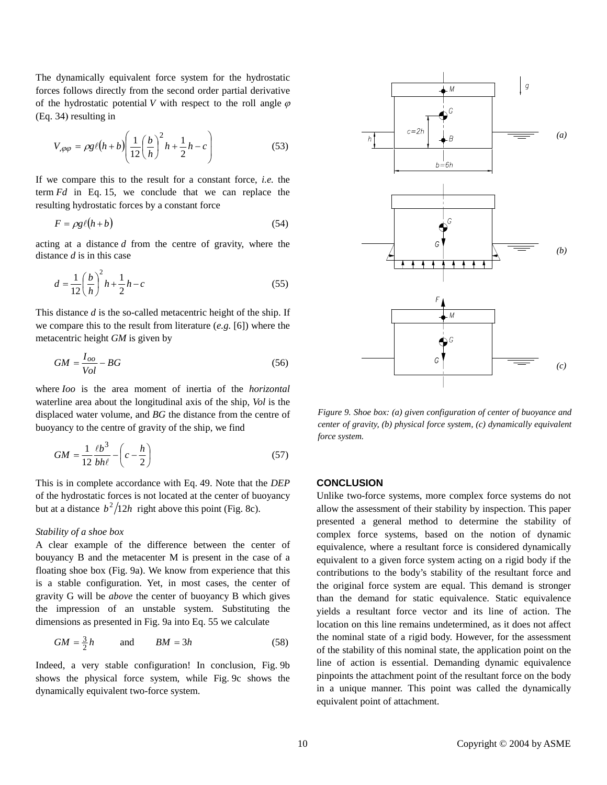The dynamically equivalent force system for the hydrostatic forces follows directly from the second order partial derivative of the hydrostatic potential *V* with respect to the roll angle  $\varphi$ (Eq. 34) resulting in

$$
V_{,\varphi\varphi} = \rho g \ell \left(h + b\right) \left(\frac{1}{12} \left(\frac{b}{h}\right)^2 h + \frac{1}{2} h - c\right) \tag{53}
$$

If we compare this to the result for a constant force, *i.e.* the term *Fd* in Eq. 15, we conclude that we can replace the resulting hydrostatic forces by a constant force

$$
F = \rho g \ell (h + b) \tag{54}
$$

acting at a distance *d* from the centre of gravity, where the distance *d* is in this case

$$
d = \frac{1}{12} \left(\frac{b}{h}\right)^2 h + \frac{1}{2} h - c \tag{55}
$$

This distance *d* is the so-called metacentric height of the ship. If we compare this to the result from literature (*e.g.* [6]) where the metacentric height *GM* is given by

$$
GM = \frac{I_{oo}}{Vol} - BG
$$
\n(56)

where *Ioo* is the area moment of inertia of the *horizontal* waterline area about the longitudinal axis of the ship, *Vol* is the displaced water volume, and *BG* the distance from the centre of buoyancy to the centre of gravity of the ship, we find

$$
GM = \frac{1}{12} \frac{\ell b^3}{bh\ell} - \left(c - \frac{h}{2}\right) \tag{57}
$$

This is in complete accordance with Eq. 49. Note that the *DEP* of the hydrostatic forces is not located at the center of buoyancy but at a distance  $b^2/12h$  right above this point (Fig. 8c).

### *Stability of a shoe box*

A clear example of the difference between the center of bouyancy B and the metacenter M is present in the case of a floating shoe box (Fig. 9a). We know from experience that this is a stable configuration. Yet, in most cases, the center of gravity G will be *above* the center of buoyancy B which gives the impression of an unstable system. Substituting the dimensions as presented in Fig. 9a into Eq. 55 we calculate

$$
GM = \frac{3}{2}h \qquad \text{and} \qquad BM = 3h \tag{58}
$$

Indeed, a very stable configuration! In conclusion, Fig. 9b shows the physical force system, while Fig. 9c shows the dynamically equivalent two-force system.



*Figure 9. Shoe box: (a) given configuration of center of buoyance and center of gravity, (b) physical force system, (c) dynamically equivalent force system.* 

# **CONCLUSION**

Unlike two-force systems, more complex force systems do not allow the assessment of their stability by inspection. This paper presented a general method to determine the stability of complex force systems, based on the notion of dynamic equivalence, where a resultant force is considered dynamically equivalent to a given force system acting on a rigid body if the contributions to the body's stability of the resultant force and the original force system are equal. This demand is stronger than the demand for static equivalence. Static equivalence yields a resultant force vector and its line of action. The location on this line remains undetermined, as it does not affect the nominal state of a rigid body. However, for the assessment of the stability of this nominal state, the application point on the line of action is essential. Demanding dynamic equivalence pinpoints the attachment point of the resultant force on the body in a unique manner. This point was called the dynamically equivalent point of attachment.